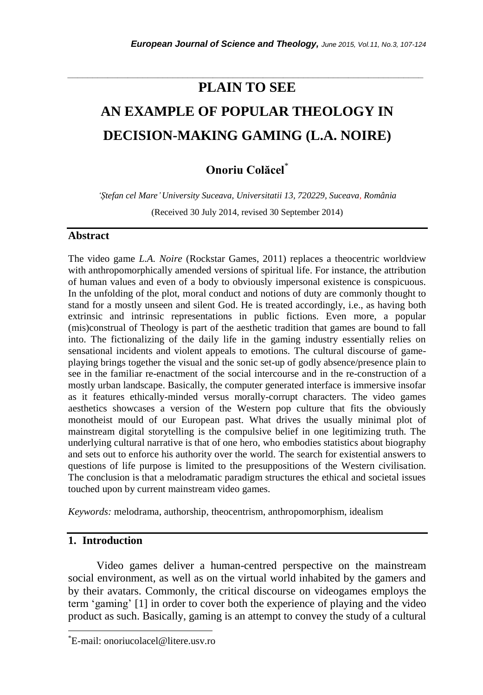# **PLAIN TO SEE AN EXAMPLE OF POPULAR THEOLOGY IN DECISION-MAKING GAMING (L.A. NOIRE)**

*\_\_\_\_\_\_\_\_\_\_\_\_\_\_\_\_\_\_\_\_\_\_\_\_\_\_\_\_\_\_\_\_\_\_\_\_\_\_\_\_\_\_\_\_\_\_\_\_\_\_\_\_\_\_\_\_\_\_\_\_\_\_\_\_\_\_\_\_\_\_\_*

# **Onoriu Colăcel**\*

*'Ștefan cel Mare' University Suceava, Universitatii 13, 720229, Suceava, România*

(Received 30 July 2014, revised 30 September 2014)

#### **Abstract**

The video game *L.A. Noire* (Rockstar Games, 2011) replaces a theocentric worldview with anthropomorphically amended versions of spiritual life. For instance, the attribution of human values and even of a body to obviously impersonal existence is conspicuous. In the unfolding of the plot, moral conduct and notions of duty are commonly thought to stand for a mostly unseen and silent God. He is treated accordingly, i.e., as having both extrinsic and intrinsic representations in public fictions. Even more, a popular (mis)construal of Theology is part of the aesthetic tradition that games are bound to fall into. The fictionalizing of the daily life in the gaming industry essentially relies on sensational incidents and violent appeals to emotions. The cultural discourse of gameplaying brings together the visual and the sonic set-up of godly absence/presence plain to see in the familiar re-enactment of the social intercourse and in the re-construction of a mostly urban landscape. Basically, the computer generated interface is immersive insofar as it features ethically-minded versus morally-corrupt characters. The video games aesthetics showcases a version of the Western pop culture that fits the obviously monotheist mould of our European past. What drives the usually minimal plot of mainstream digital storytelling is the compulsive belief in one legitimizing truth. The underlying cultural narrative is that of one hero, who embodies statistics about biography and sets out to enforce his authority over the world. The search for existential answers to questions of life purpose is limited to the presuppositions of the Western civilisation. The conclusion is that a melodramatic paradigm structures the ethical and societal issues touched upon by current mainstream video games.

*Keywords:* melodrama, authorship, theocentrism, anthropomorphism, idealism

#### **1. Introduction**

l

Video games deliver a human-centred perspective on the mainstream social environment, as well as on the virtual world inhabited by the gamers and by their avatars. Commonly, the critical discourse on videogames employs the term ‗gaming' [1] in order to cover both the experience of playing and the video product as such. Basically, gaming is an attempt to convey the study of a cultural

<sup>\*</sup>E-mail: onoriucolacel@litere.usv.ro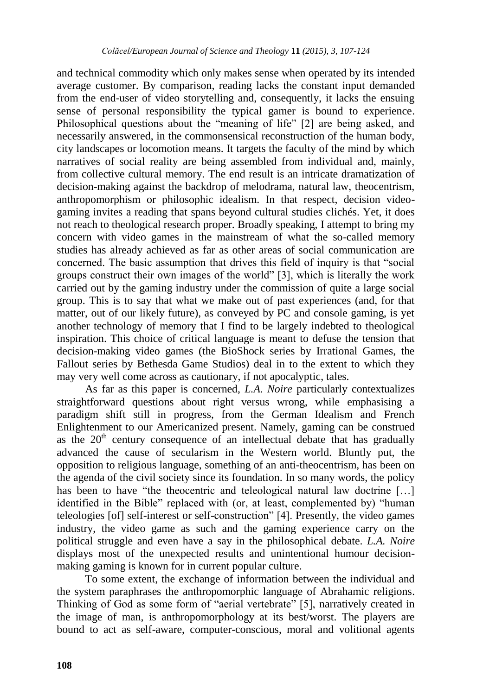and technical commodity which only makes sense when operated by its intended average customer. By comparison, reading lacks the constant input demanded from the end-user of video storytelling and, consequently, it lacks the ensuing sense of personal responsibility the typical gamer is bound to experience. Philosophical questions about the "meaning of life" [2] are being asked, and necessarily answered, in the commonsensical reconstruction of the human body, city landscapes or locomotion means. It targets the faculty of the mind by which narratives of social reality are being assembled from individual and, mainly, from collective cultural memory. The end result is an intricate dramatization of decision-making against the backdrop of melodrama, natural law, theocentrism, anthropomorphism or philosophic idealism. In that respect, decision videogaming invites a reading that spans beyond cultural studies clichés. Yet, it does not reach to theological research proper. Broadly speaking, I attempt to bring my concern with video games in the mainstream of what the so-called memory studies has already achieved as far as other areas of social communication are concerned. The basic assumption that drives this field of inquiry is that "social groups construct their own images of the world" [3], which is literally the work carried out by the gaming industry under the commission of quite a large social group. This is to say that what we make out of past experiences (and, for that matter, out of our likely future), as conveyed by PC and console gaming, is yet another technology of memory that I find to be largely indebted to theological inspiration. This choice of critical language is meant to defuse the tension that decision-making video games (the BioShock series by Irrational Games, the Fallout series by Bethesda Game Studios) deal in to the extent to which they may very well come across as cautionary, if not apocalyptic, tales.

As far as this paper is concerned, *L.A. Noire* particularly contextualizes straightforward questions about right versus wrong, while emphasising a paradigm shift still in progress, from the German Idealism and French Enlightenment to our Americanized present. Namely, gaming can be construed as the  $20<sup>th</sup>$  century consequence of an intellectual debate that has gradually advanced the cause of secularism in the Western world. Bluntly put, the opposition to religious language, something of an anti-theocentrism, has been on the agenda of the civil society since its foundation. In so many words, the policy has been to have "the theocentric and teleological natural law doctrine  $[\dots]$ identified in the Bible" replaced with (or, at least, complemented by) "human teleologies [of] self-interest or self-construction‖ [4]. Presently, the video games industry, the video game as such and the gaming experience carry on the political struggle and even have a say in the philosophical debate. *L.A. Noire* displays most of the unexpected results and unintentional humour decisionmaking gaming is known for in current popular culture.

To some extent, the exchange of information between the individual and the system paraphrases the anthropomorphic language of Abrahamic religions. Thinking of God as some form of "aerial vertebrate" [5], narratively created in the image of man, is anthropomorphology at its best/worst. The players are bound to act as self-aware, computer-conscious, moral and volitional agents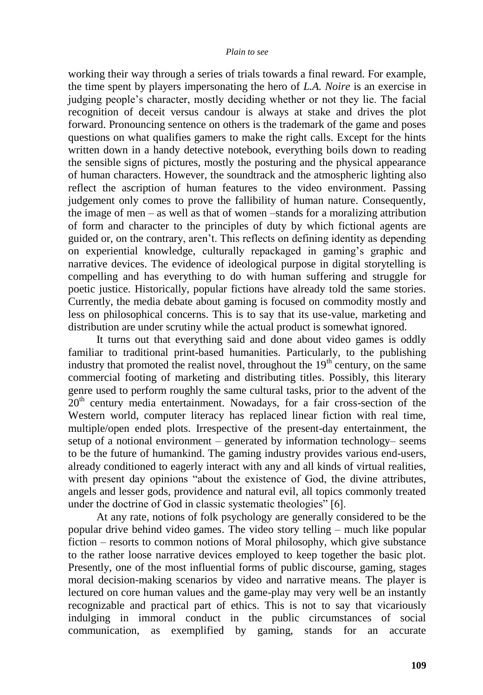working their way through a series of trials towards a final reward. For example, the time spent by players impersonating the hero of *L.A. Noire* is an exercise in judging people's character, mostly deciding whether or not they lie. The facial recognition of deceit versus candour is always at stake and drives the plot forward. Pronouncing sentence on others is the trademark of the game and poses questions on what qualifies gamers to make the right calls. Except for the hints written down in a handy detective notebook, everything boils down to reading the sensible signs of pictures, mostly the posturing and the physical appearance of human characters. However, the soundtrack and the atmospheric lighting also reflect the ascription of human features to the video environment. Passing judgement only comes to prove the fallibility of human nature. Consequently, the image of men – as well as that of women –stands for a moralizing attribution of form and character to the principles of duty by which fictional agents are guided or, on the contrary, aren't. This reflects on defining identity as depending on experiential knowledge, culturally repackaged in gaming's graphic and narrative devices. The evidence of ideological purpose in digital storytelling is compelling and has everything to do with human suffering and struggle for poetic justice. Historically, popular fictions have already told the same stories. Currently, the media debate about gaming is focused on commodity mostly and less on philosophical concerns. This is to say that its use-value, marketing and distribution are under scrutiny while the actual product is somewhat ignored.

It turns out that everything said and done about video games is oddly familiar to traditional print-based humanities. Particularly, to the publishing industry that promoted the realist novel, throughout the  $19<sup>th</sup>$  century, on the same commercial footing of marketing and distributing titles. Possibly, this literary genre used to perform roughly the same cultural tasks, prior to the advent of the  $20<sup>th</sup>$  century media entertainment. Nowadays, for a fair cross-section of the Western world, computer literacy has replaced linear fiction with real time, multiple/open ended plots. Irrespective of the present-day entertainment, the setup of a notional environment – generated by information technology– seems to be the future of humankind. The gaming industry provides various end-users, already conditioned to eagerly interact with any and all kinds of virtual realities, with present day opinions "about the existence of God, the divine attributes, angels and lesser gods, providence and natural evil, all topics commonly treated under the doctrine of God in classic systematic theologies" [6].

At any rate, notions of folk psychology are generally considered to be the popular drive behind video games. The video story telling – much like popular fiction – resorts to common notions of Moral philosophy, which give substance to the rather loose narrative devices employed to keep together the basic plot. Presently, one of the most influential forms of public discourse, gaming, stages moral decision-making scenarios by video and narrative means. The player is lectured on core human values and the game-play may very well be an instantly recognizable and practical part of ethics. This is not to say that vicariously indulging in immoral conduct in the public circumstances of social communication, as exemplified by gaming, stands for an accurate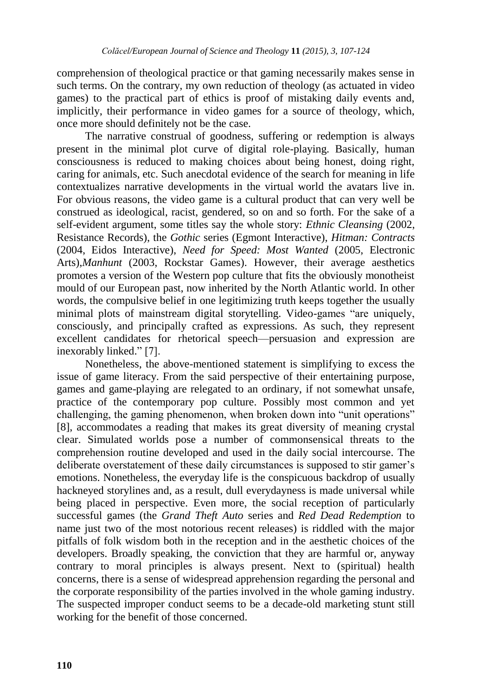comprehension of theological practice or that gaming necessarily makes sense in such terms. On the contrary, my own reduction of theology (as actuated in video games) to the practical part of ethics is proof of mistaking daily events and, implicitly, their performance in video games for a source of theology, which, once more should definitely not be the case.

The narrative construal of goodness, suffering or redemption is always present in the minimal plot curve of digital role-playing. Basically, human consciousness is reduced to making choices about being honest, doing right, caring for animals, etc. Such anecdotal evidence of the search for meaning in life contextualizes narrative developments in the virtual world the avatars live in. For obvious reasons, the video game is a cultural product that can very well be construed as ideological, racist, gendered, so on and so forth. For the sake of a self-evident argument, some titles say the whole story: *Ethnic Cleansing* (2002, Resistance Records), the *Gothic* series (Egmont Interactive), *Hitman: Contracts* (2004, Eidos Interactive), *Need for Speed: Most Wanted* (2005, Electronic Arts),*Manhunt* (2003, Rockstar Games). However, their average aesthetics promotes a version of the Western pop culture that fits the obviously monotheist mould of our European past, now inherited by the North Atlantic world. In other words, the compulsive belief in one legitimizing truth keeps together the usually minimal plots of mainstream digital storytelling. Video-games "are uniquely, consciously, and principally crafted as expressions. As such, they represent excellent candidates for rhetorical speech—persuasion and expression are inexorably linked." [7].

Nonetheless, the above-mentioned statement is simplifying to excess the issue of game literacy. From the said perspective of their entertaining purpose, games and game-playing are relegated to an ordinary, if not somewhat unsafe, practice of the contemporary pop culture. Possibly most common and yet challenging, the gaming phenomenon, when broken down into "unit operations" [8], accommodates a reading that makes its great diversity of meaning crystal clear. Simulated worlds pose a number of commonsensical threats to the comprehension routine developed and used in the daily social intercourse. The deliberate overstatement of these daily circumstances is supposed to stir gamer's emotions. Nonetheless, the everyday life is the conspicuous backdrop of usually hackneyed storylines and, as a result, dull everydayness is made universal while being placed in perspective. Even more, the social reception of particularly successful games (the *Grand Theft Auto* series and *Red Dead Redemption* to name just two of the most notorious recent releases) is riddled with the major pitfalls of folk wisdom both in the reception and in the aesthetic choices of the developers. Broadly speaking, the conviction that they are harmful or, anyway contrary to moral principles is always present. Next to (spiritual) health concerns, there is a sense of widespread apprehension regarding the personal and the corporate responsibility of the parties involved in the whole gaming industry. The suspected improper conduct seems to be a decade-old marketing stunt still working for the benefit of those concerned.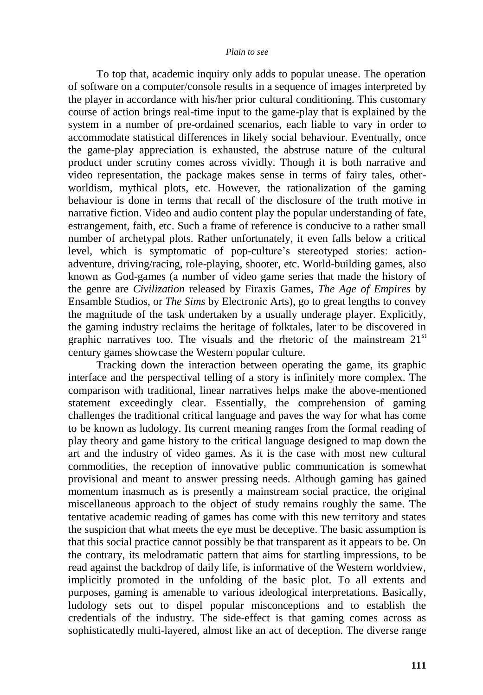#### *Plain to see*

To top that, academic inquiry only adds to popular unease. The operation of software on a computer/console results in a sequence of images interpreted by the player in accordance with his/her prior cultural conditioning. This customary course of action brings real-time input to the game-play that is explained by the system in a number of pre-ordained scenarios, each liable to vary in order to accommodate statistical differences in likely social behaviour. Eventually, once the game-play appreciation is exhausted, the abstruse nature of the cultural product under scrutiny comes across vividly. Though it is both narrative and video representation, the package makes sense in terms of fairy tales, otherworldism, mythical plots, etc. However, the rationalization of the gaming behaviour is done in terms that recall of the disclosure of the truth motive in narrative fiction. Video and audio content play the popular understanding of fate, estrangement, faith, etc. Such a frame of reference is conducive to a rather small number of archetypal plots. Rather unfortunately, it even falls below a critical level, which is symptomatic of pop-culture's stereotyped stories: actionadventure, driving/racing, role-playing, shooter, etc. World-building games, also known as God-games (a number of video game series that made the history of the genre are *Civilization* released by Firaxis Games, *The Age of Empires* by Ensamble Studios, or *The Sims* by Electronic Arts), go to great lengths to convey the magnitude of the task undertaken by a usually underage player. Explicitly, the gaming industry reclaims the heritage of folktales, later to be discovered in graphic narratives too. The visuals and the rhetoric of the mainstream  $21<sup>st</sup>$ century games showcase the Western popular culture.

Tracking down the interaction between operating the game, its graphic interface and the perspectival telling of a story is infinitely more complex. The comparison with traditional, linear narratives helps make the above-mentioned statement exceedingly clear. Essentially, the comprehension of gaming challenges the traditional critical language and paves the way for what has come to be known as ludology. Its current meaning ranges from the formal reading of play theory and game history to the critical language designed to map down the art and the industry of video games. As it is the case with most new cultural commodities, the reception of innovative public communication is somewhat provisional and meant to answer pressing needs. Although gaming has gained momentum inasmuch as is presently a mainstream social practice, the original miscellaneous approach to the object of study remains roughly the same. The tentative academic reading of games has come with this new territory and states the suspicion that what meets the eye must be deceptive. The basic assumption is that this social practice cannot possibly be that transparent as it appears to be. On the contrary, its melodramatic pattern that aims for startling impressions, to be read against the backdrop of daily life, is informative of the Western worldview, implicitly promoted in the unfolding of the basic plot. To all extents and purposes, gaming is amenable to various ideological interpretations. Basically, ludology sets out to dispel popular misconceptions and to establish the credentials of the industry. The side-effect is that gaming comes across as sophisticatedly multi-layered, almost like an act of deception. The diverse range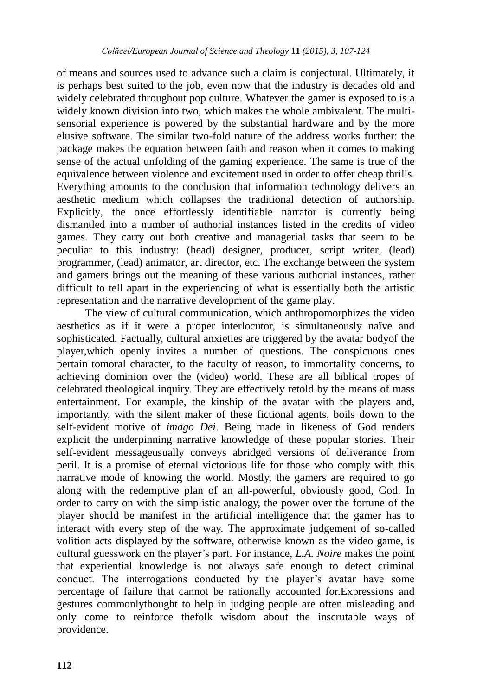of means and sources used to advance such a claim is conjectural. Ultimately, it is perhaps best suited to the job, even now that the industry is decades old and widely celebrated throughout pop culture. Whatever the gamer is exposed to is a widely known division into two, which makes the whole ambivalent. The multisensorial experience is powered by the substantial hardware and by the more elusive software. The similar two-fold nature of the address works further: the package makes the equation between faith and reason when it comes to making sense of the actual unfolding of the gaming experience. The same is true of the equivalence between violence and excitement used in order to offer cheap thrills. Everything amounts to the conclusion that information technology delivers an aesthetic medium which collapses the traditional detection of authorship. Explicitly, the once effortlessly identifiable narrator is currently being dismantled into a number of authorial instances listed in the credits of video games. They carry out both creative and managerial tasks that seem to be peculiar to this industry: (head) designer, producer, script writer, (lead) programmer, (lead) animator, art director, etc. The exchange between the system and gamers brings out the meaning of these various authorial instances, rather difficult to tell apart in the experiencing of what is essentially both the artistic representation and the narrative development of the game play.

The view of cultural communication, which anthropomorphizes the video aesthetics as if it were a proper interlocutor, is simultaneously naïve and sophisticated. Factually, cultural anxieties are triggered by the avatar bodyof the player,which openly invites a number of questions. The conspicuous ones pertain tomoral character, to the faculty of reason, to immortality concerns, to achieving dominion over the (video) world. These are all biblical tropes of celebrated theological inquiry. They are effectively retold by the means of mass entertainment. For example, the kinship of the avatar with the players and, importantly, with the silent maker of these fictional agents, boils down to the self-evident motive of *imago Dei*. Being made in likeness of God renders explicit the underpinning narrative knowledge of these popular stories. Their self-evident messageusually conveys abridged versions of deliverance from peril. It is a promise of eternal victorious life for those who comply with this narrative mode of knowing the world. Mostly, the gamers are required to go along with the redemptive plan of an all-powerful, obviously good, God. In order to carry on with the simplistic analogy, the power over the fortune of the player should be manifest in the artificial intelligence that the gamer has to interact with every step of the way. The approximate judgement of so-called volition acts displayed by the software, otherwise known as the video game, is cultural guesswork on the player's part. For instance, *L.A. Noire* makes the point that experiential knowledge is not always safe enough to detect criminal conduct. The interrogations conducted by the player's avatar have some percentage of failure that cannot be rationally accounted for.Expressions and gestures commonlythought to help in judging people are often misleading and only come to reinforce thefolk wisdom about the inscrutable ways of providence.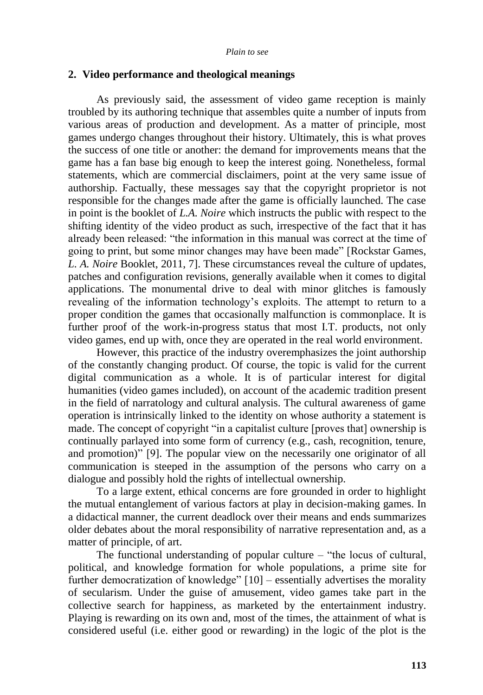#### **2. Video performance and theological meanings**

As previously said, the assessment of video game reception is mainly troubled by its authoring technique that assembles quite a number of inputs from various areas of production and development. As a matter of principle, most games undergo changes throughout their history. Ultimately, this is what proves the success of one title or another: the demand for improvements means that the game has a fan base big enough to keep the interest going. Nonetheless, formal statements, which are commercial disclaimers, point at the very same issue of authorship. Factually, these messages say that the copyright proprietor is not responsible for the changes made after the game is officially launched. The case in point is the booklet of *L.A. Noire* which instructs the public with respect to the shifting identity of the video product as such, irrespective of the fact that it has already been released: "the information in this manual was correct at the time of going to print, but some minor changes may have been made" [Rockstar Games, *L. A. Noire* Booklet, 2011, 7]. These circumstances reveal the culture of updates, patches and configuration revisions, generally available when it comes to digital applications. The monumental drive to deal with minor glitches is famously revealing of the information technology's exploits. The attempt to return to a proper condition the games that occasionally malfunction is commonplace. It is further proof of the work-in-progress status that most I.T. products, not only video games, end up with, once they are operated in the real world environment.

However, this practice of the industry overemphasizes the joint authorship of the constantly changing product. Of course, the topic is valid for the current digital communication as a whole. It is of particular interest for digital humanities (video games included), on account of the academic tradition present in the field of narratology and cultural analysis. The cultural awareness of game operation is intrinsically linked to the identity on whose authority a statement is made. The concept of copyright "in a capitalist culture [proves that] ownership is continually parlayed into some form of currency (e.g., cash, recognition, tenure, and promotion)" [9]. The popular view on the necessarily one originator of all communication is steeped in the assumption of the persons who carry on a dialogue and possibly hold the rights of intellectual ownership.

To a large extent, ethical concerns are fore grounded in order to highlight the mutual entanglement of various factors at play in decision-making games. In a didactical manner, the current deadlock over their means and ends summarizes older debates about the moral responsibility of narrative representation and, as a matter of principle, of art.

The functional understanding of popular culture  $-$  "the locus of cultural, political, and knowledge formation for whole populations, a prime site for further democratization of knowledge"  $[10]$  – essentially advertises the morality of secularism. Under the guise of amusement, video games take part in the collective search for happiness, as marketed by the entertainment industry. Playing is rewarding on its own and, most of the times, the attainment of what is considered useful (i.e. either good or rewarding) in the logic of the plot is the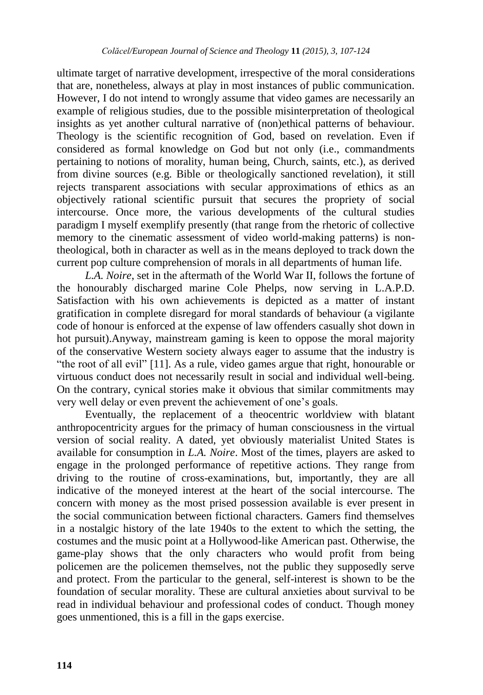ultimate target of narrative development, irrespective of the moral considerations that are, nonetheless, always at play in most instances of public communication. However, I do not intend to wrongly assume that video games are necessarily an example of religious studies, due to the possible misinterpretation of theological insights as yet another cultural narrative of (non)ethical patterns of behaviour. Theology is the scientific recognition of God, based on revelation. Even if considered as formal knowledge on God but not only (i.e., commandments pertaining to notions of morality, human being, Church, saints, etc.), as derived from divine sources (e.g. Bible or theologically sanctioned revelation), it still rejects transparent associations with secular approximations of ethics as an objectively rational scientific pursuit that secures the propriety of social intercourse. Once more, the various developments of the cultural studies paradigm I myself exemplify presently (that range from the rhetoric of collective memory to the cinematic assessment of video world-making patterns) is nontheological, both in character as well as in the means deployed to track down the current pop culture comprehension of morals in all departments of human life.

*L.A. Noire*, set in the aftermath of the World War II, follows the fortune of the honourably discharged marine Cole Phelps, now serving in L.A.P.D. Satisfaction with his own achievements is depicted as a matter of instant gratification in complete disregard for moral standards of behaviour (a vigilante code of honour is enforced at the expense of law offenders casually shot down in hot pursuit).Anyway, mainstream gaming is keen to oppose the moral majority of the conservative Western society always eager to assume that the industry is "the root of all evil" [11]. As a rule, video games argue that right, honourable or virtuous conduct does not necessarily result in social and individual well-being. On the contrary, cynical stories make it obvious that similar commitments may very well delay or even prevent the achievement of one's goals.

Eventually, the replacement of a theocentric worldview with blatant anthropocentricity argues for the primacy of human consciousness in the virtual version of social reality. A dated, yet obviously materialist United States is available for consumption in *L.A. Noire*. Most of the times, players are asked to engage in the prolonged performance of repetitive actions. They range from driving to the routine of cross-examinations, but, importantly, they are all indicative of the moneyed interest at the heart of the social intercourse. The concern with money as the most prised possession available is ever present in the social communication between fictional characters. Gamers find themselves in a nostalgic history of the late 1940s to the extent to which the setting, the costumes and the music point at a Hollywood-like American past. Otherwise, the game-play shows that the only characters who would profit from being policemen are the policemen themselves, not the public they supposedly serve and protect. From the particular to the general, self-interest is shown to be the foundation of secular morality. These are cultural anxieties about survival to be read in individual behaviour and professional codes of conduct. Though money goes unmentioned, this is a fill in the gaps exercise.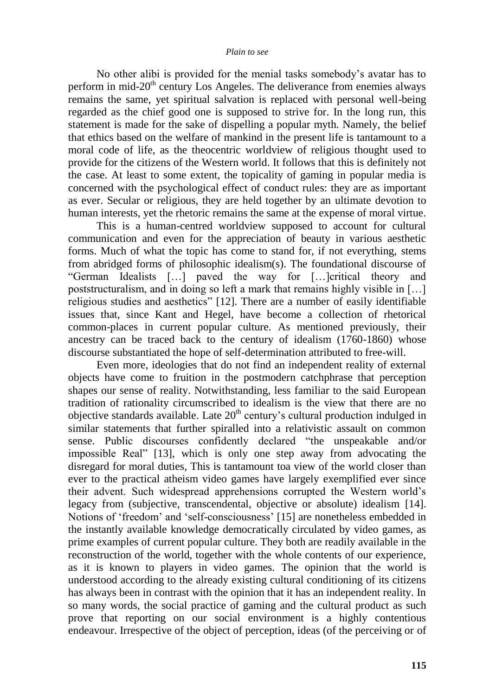#### *Plain to see*

No other alibi is provided for the menial tasks somebody's avatar has to perform in mid- $20<sup>th</sup>$  century Los Angeles. The deliverance from enemies always remains the same, yet spiritual salvation is replaced with personal well-being regarded as the chief good one is supposed to strive for. In the long run, this statement is made for the sake of dispelling a popular myth. Namely, the belief that ethics based on the welfare of mankind in the present life is tantamount to a moral code of life, as the theocentric worldview of religious thought used to provide for the citizens of the Western world. It follows that this is definitely not the case. At least to some extent, the topicality of gaming in popular media is concerned with the psychological effect of conduct rules: they are as important as ever. Secular or religious, they are held together by an ultimate devotion to human interests, yet the rhetoric remains the same at the expense of moral virtue.

This is a human-centred worldview supposed to account for cultural communication and even for the appreciation of beauty in various aesthetic forms. Much of what the topic has come to stand for, if not everything, stems from abridged forms of philosophic idealism(s). The foundational discourse of ―German Idealists […] paved the way for […]critical theory and poststructuralism, and in doing so left a mark that remains highly visible in […] religious studies and aesthetics" [12]. There are a number of easily identifiable issues that, since Kant and Hegel, have become a collection of rhetorical common-places in current popular culture. As mentioned previously, their ancestry can be traced back to the century of idealism (1760-1860) whose discourse substantiated the hope of self-determination attributed to free-will.

Even more, ideologies that do not find an independent reality of external objects have come to fruition in the postmodern catchphrase that perception shapes our sense of reality. Notwithstanding, less familiar to the said European tradition of rationality circumscribed to idealism is the view that there are no objective standards available. Late  $20<sup>th</sup>$  century's cultural production indulged in similar statements that further spiralled into a relativistic assault on common sense. Public discourses confidently declared "the unspeakable and/or impossible Real" [13], which is only one step away from advocating the disregard for moral duties, This is tantamount toa view of the world closer than ever to the practical atheism video games have largely exemplified ever since their advent. Such widespread apprehensions corrupted the Western world's legacy from (subjective, transcendental, objective or absolute) idealism [14]. Notions of 'freedom' and 'self-consciousness' [15] are nonetheless embedded in the instantly available knowledge democratically circulated by video games, as prime examples of current popular culture. They both are readily available in the reconstruction of the world, together with the whole contents of our experience, as it is known to players in video games. The opinion that the world is understood according to the already existing cultural conditioning of its citizens has always been in contrast with the opinion that it has an independent reality. In so many words, the social practice of gaming and the cultural product as such prove that reporting on our social environment is a highly contentious endeavour. Irrespective of the object of perception, ideas (of the perceiving or of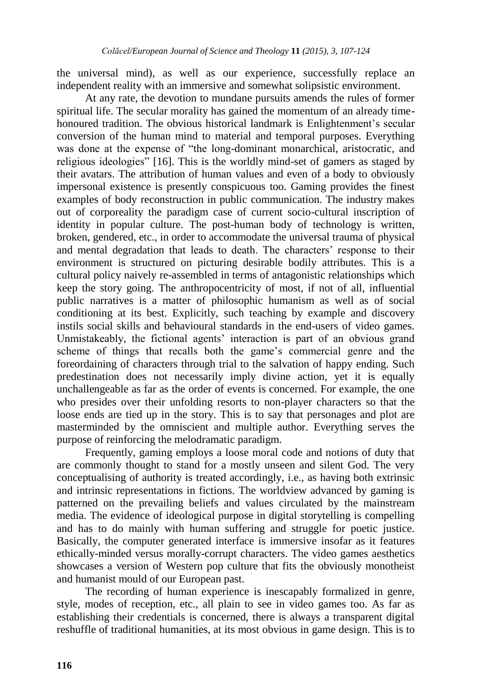the universal mind), as well as our experience, successfully replace an independent reality with an immersive and somewhat solipsistic environment.

At any rate, the devotion to mundane pursuits amends the rules of former spiritual life. The secular morality has gained the momentum of an already timehonoured tradition. The obvious historical landmark is Enlightenment's secular conversion of the human mind to material and temporal purposes. Everything was done at the expense of "the long-dominant monarchical, aristocratic, and religious ideologies" [16]. This is the worldly mind-set of gamers as staged by their avatars. The attribution of human values and even of a body to obviously impersonal existence is presently conspicuous too. Gaming provides the finest examples of body reconstruction in public communication. The industry makes out of corporeality the paradigm case of current socio-cultural inscription of identity in popular culture. The post-human body of technology is written, broken, gendered, etc., in order to accommodate the universal trauma of physical and mental degradation that leads to death. The characters' response to their environment is structured on picturing desirable bodily attributes. This is a cultural policy naively re-assembled in terms of antagonistic relationships which keep the story going. The anthropocentricity of most, if not of all, influential public narratives is a matter of philosophic humanism as well as of social conditioning at its best. Explicitly, such teaching by example and discovery instils social skills and behavioural standards in the end-users of video games. Unmistakeably, the fictional agents' interaction is part of an obvious grand scheme of things that recalls both the game's commercial genre and the foreordaining of characters through trial to the salvation of happy ending. Such predestination does not necessarily imply divine action, yet it is equally unchallengeable as far as the order of events is concerned. For example, the one who presides over their unfolding resorts to non-player characters so that the loose ends are tied up in the story. This is to say that personages and plot are masterminded by the omniscient and multiple author. Everything serves the purpose of reinforcing the melodramatic paradigm.

Frequently, gaming employs a loose moral code and notions of duty that are commonly thought to stand for a mostly unseen and silent God. The very conceptualising of authority is treated accordingly, i.e., as having both extrinsic and intrinsic representations in fictions. The worldview advanced by gaming is patterned on the prevailing beliefs and values circulated by the mainstream media. The evidence of ideological purpose in digital storytelling is compelling and has to do mainly with human suffering and struggle for poetic justice. Basically, the computer generated interface is immersive insofar as it features ethically-minded versus morally-corrupt characters. The video games aesthetics showcases a version of Western pop culture that fits the obviously monotheist and humanist mould of our European past.

The recording of human experience is inescapably formalized in genre, style, modes of reception, etc., all plain to see in video games too. As far as establishing their credentials is concerned, there is always a transparent digital reshuffle of traditional humanities, at its most obvious in game design. This is to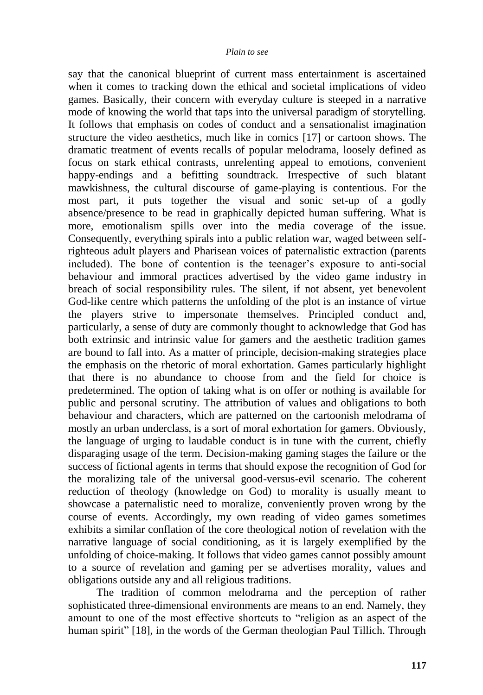say that the canonical blueprint of current mass entertainment is ascertained when it comes to tracking down the ethical and societal implications of video games. Basically, their concern with everyday culture is steeped in a narrative mode of knowing the world that taps into the universal paradigm of storytelling. It follows that emphasis on codes of conduct and a sensationalist imagination structure the video aesthetics, much like in comics [17] or cartoon shows. The dramatic treatment of events recalls of popular melodrama, loosely defined as focus on stark ethical contrasts, unrelenting appeal to emotions, convenient happy-endings and a befitting soundtrack. Irrespective of such blatant mawkishness, the cultural discourse of game-playing is contentious. For the most part, it puts together the visual and sonic set-up of a godly absence/presence to be read in graphically depicted human suffering. What is more, emotionalism spills over into the media coverage of the issue. Consequently, everything spirals into a public relation war, waged between selfrighteous adult players and Pharisean voices of paternalistic extraction (parents included). The bone of contention is the teenager's exposure to anti-social behaviour and immoral practices advertised by the video game industry in breach of social responsibility rules. The silent, if not absent, yet benevolent God-like centre which patterns the unfolding of the plot is an instance of virtue the players strive to impersonate themselves. Principled conduct and, particularly, a sense of duty are commonly thought to acknowledge that God has both extrinsic and intrinsic value for gamers and the aesthetic tradition games are bound to fall into. As a matter of principle, decision-making strategies place the emphasis on the rhetoric of moral exhortation. Games particularly highlight that there is no abundance to choose from and the field for choice is predetermined. The option of taking what is on offer or nothing is available for public and personal scrutiny. The attribution of values and obligations to both behaviour and characters, which are patterned on the cartoonish melodrama of mostly an urban underclass, is a sort of moral exhortation for gamers. Obviously, the language of urging to laudable conduct is in tune with the current, chiefly disparaging usage of the term. Decision-making gaming stages the failure or the success of fictional agents in terms that should expose the recognition of God for the moralizing tale of the universal good-versus-evil scenario. The coherent reduction of theology (knowledge on God) to morality is usually meant to showcase a paternalistic need to moralize, conveniently proven wrong by the course of events. Accordingly, my own reading of video games sometimes exhibits a similar conflation of the core theological notion of revelation with the narrative language of social conditioning, as it is largely exemplified by the unfolding of choice-making. It follows that video games cannot possibly amount to a source of revelation and gaming per se advertises morality, values and obligations outside any and all religious traditions.

The tradition of common melodrama and the perception of rather sophisticated three-dimensional environments are means to an end. Namely, they amount to one of the most effective shortcuts to "religion as an aspect of the human spirit" [18], in the words of the German theologian Paul Tillich. Through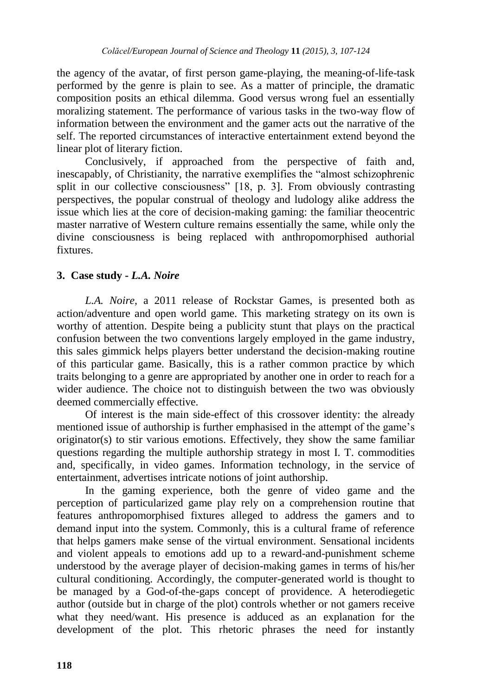the agency of the avatar, of first person game-playing, the meaning-of-life-task performed by the genre is plain to see. As a matter of principle, the dramatic composition posits an ethical dilemma. Good versus wrong fuel an essentially moralizing statement. The performance of various tasks in the two-way flow of information between the environment and the gamer acts out the narrative of the self. The reported circumstances of interactive entertainment extend beyond the linear plot of literary fiction.

Conclusively, if approached from the perspective of faith and, inescapably, of Christianity, the narrative exemplifies the "almost schizophrenic split in our collective consciousness"  $[18, p. 3]$ . From obviously contrasting perspectives, the popular construal of theology and ludology alike address the issue which lies at the core of decision-making gaming: the familiar theocentric master narrative of Western culture remains essentially the same, while only the divine consciousness is being replaced with anthropomorphised authorial fixtures.

## **3. Case study -** *L.A. Noire*

*L.A. Noire,* a 2011 release of Rockstar Games, is presented both as action/adventure and open world game. This marketing strategy on its own is worthy of attention. Despite being a publicity stunt that plays on the practical confusion between the two conventions largely employed in the game industry, this sales gimmick helps players better understand the decision-making routine of this particular game. Basically, this is a rather common practice by which traits belonging to a genre are appropriated by another one in order to reach for a wider audience. The choice not to distinguish between the two was obviously deemed commercially effective.

Of interest is the main side-effect of this crossover identity: the already mentioned issue of authorship is further emphasised in the attempt of the game's originator(s) to stir various emotions. Effectively, they show the same familiar questions regarding the multiple authorship strategy in most I. T. commodities and, specifically, in video games. Information technology, in the service of entertainment, advertises intricate notions of joint authorship.

In the gaming experience, both the genre of video game and the perception of particularized game play rely on a comprehension routine that features anthropomorphised fixtures alleged to address the gamers and to demand input into the system. Commonly, this is a cultural frame of reference that helps gamers make sense of the virtual environment. Sensational incidents and violent appeals to emotions add up to a reward-and-punishment scheme understood by the average player of decision-making games in terms of his/her cultural conditioning. Accordingly, the computer-generated world is thought to be managed by a God-of-the-gaps concept of providence. A heterodiegetic author (outside but in charge of the plot) controls whether or not gamers receive what they need/want. His presence is adduced as an explanation for the development of the plot. This rhetoric phrases the need for instantly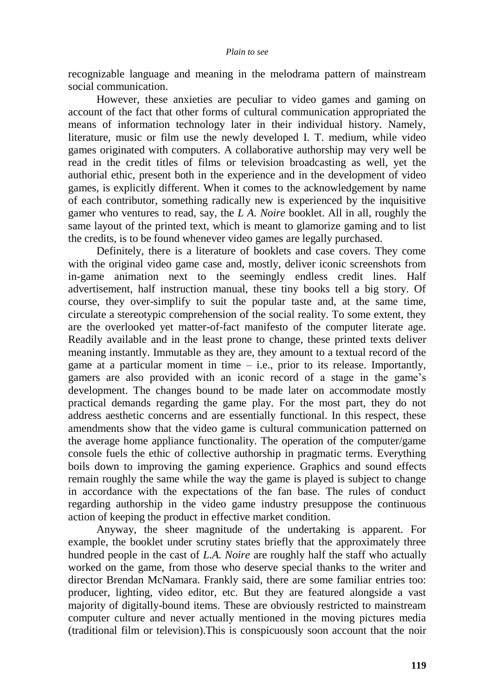recognizable language and meaning in the melodrama pattern of mainstream social communication.

However, these anxieties are peculiar to video games and gaming on account of the fact that other forms of cultural communication appropriated the means of information technology later in their individual history. Namely, literature, music or film use the newly developed I. T. medium, while video games originated with computers. A collaborative authorship may very well be read in the credit titles of films or television broadcasting as well, yet the authorial ethic, present both in the experience and in the development of video games, is explicitly different. When it comes to the acknowledgement by name of each contributor, something radically new is experienced by the inquisitive gamer who ventures to read, say, the *L A. Noire* booklet. All in all, roughly the same layout of the printed text, which is meant to glamorize gaming and to list the credits, is to be found whenever video games are legally purchased.

Definitely, there is a literature of booklets and case covers. They come with the original video game case and, mostly, deliver iconic screenshots from in-game animation next to the seemingly endless credit lines. Half advertisement, half instruction manual, these tiny books tell a big story. Of course, they over-simplify to suit the popular taste and, at the same time, circulate a stereotypic comprehension of the social reality. To some extent, they are the overlooked yet matter-of-fact manifesto of the computer literate age. Readily available and in the least prone to change, these printed texts deliver meaning instantly. Immutable as they are, they amount to a textual record of the game at a particular moment in time  $-$  i.e., prior to its release. Importantly, gamers are also provided with an iconic record of a stage in the game's development. The changes bound to be made later on accommodate mostly practical demands regarding the game play. For the most part, they do not address aesthetic concerns and are essentially functional. In this respect, these amendments show that the video game is cultural communication patterned on the average home appliance functionality. The operation of the computer/game console fuels the ethic of collective authorship in pragmatic terms. Everything boils down to improving the gaming experience. Graphics and sound effects remain roughly the same while the way the game is played is subject to change in accordance with the expectations of the fan base. The rules of conduct regarding authorship in the video game industry presuppose the continuous action of keeping the product in effective market condition.

Anyway, the sheer magnitude of the undertaking is apparent. For example, the booklet under scrutiny states briefly that the approximately three hundred people in the cast of *L.A. Noire* are roughly half the staff who actually worked on the game, from those who deserve special thanks to the writer and director Brendan McNamara. Frankly said, there are some familiar entries too: producer, lighting, video editor, etc. But they are featured alongside a vast majority of digitally-bound items. These are obviously restricted to mainstream computer culture and never actually mentioned in the moving pictures media (traditional film or television).This is conspicuously soon account that the noir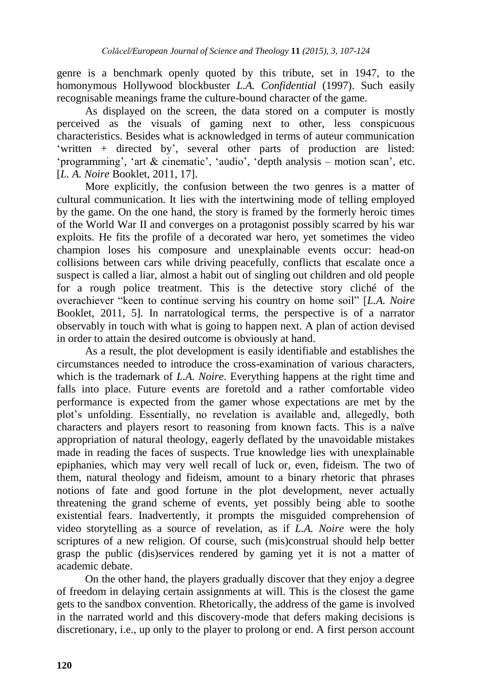genre is a benchmark openly quoted by this tribute, set in 1947, to the homonymous Hollywood blockbuster *L.A. Confidential* (1997). Such easily recognisable meanings frame the culture-bound character of the game.

As displayed on the screen, the data stored on a computer is mostly perceived as the visuals of gaming next to other, less conspicuous characteristics. Besides what is acknowledged in terms of auteur communication ‗written + directed by', several other parts of production are listed: 'programming', 'art  $&$  cinematic', 'audio', 'depth analysis – motion scan', etc. [*L. A. Noire* Booklet, 2011, 17].

More explicitly, the confusion between the two genres is a matter of cultural communication. It lies with the intertwining mode of telling employed by the game. On the one hand, the story is framed by the formerly heroic times of the World War II and converges on a protagonist possibly scarred by his war exploits. He fits the profile of a decorated war hero, yet sometimes the video champion loses his composure and unexplainable events occur: head-on collisions between cars while driving peacefully, conflicts that escalate once a suspect is called a liar, almost a habit out of singling out children and old people for a rough police treatment. This is the detective story cliché of the overachiever "keen to continue serving his country on home soil" [*L.A. Noire* Booklet, 2011, 5]. In narratological terms, the perspective is of a narrator observably in touch with what is going to happen next. A plan of action devised in order to attain the desired outcome is obviously at hand.

As a result, the plot development is easily identifiable and establishes the circumstances needed to introduce the cross-examination of various characters, which is the trademark of *L.A. Noire*. Everything happens at the right time and falls into place. Future events are foretold and a rather comfortable video performance is expected from the gamer whose expectations are met by the plot's unfolding. Essentially, no revelation is available and, allegedly, both characters and players resort to reasoning from known facts. This is a naïve appropriation of natural theology, eagerly deflated by the unavoidable mistakes made in reading the faces of suspects. True knowledge lies with unexplainable epiphanies, which may very well recall of luck or, even, fideism. The two of them, natural theology and fideism, amount to a binary rhetoric that phrases notions of fate and good fortune in the plot development, never actually threatening the grand scheme of events, yet possibly being able to soothe existential fears. Inadvertently, it prompts the misguided comprehension of video storytelling as a source of revelation, as if *L.A. Noire* were the holy scriptures of a new religion. Of course, such (mis)construal should help better grasp the public (dis)services rendered by gaming yet it is not a matter of academic debate.

On the other hand, the players gradually discover that they enjoy a degree of freedom in delaying certain assignments at will. This is the closest the game gets to the sandbox convention. Rhetorically, the address of the game is involved in the narrated world and this discovery-mode that defers making decisions is discretionary, i.e., up only to the player to prolong or end. A first person account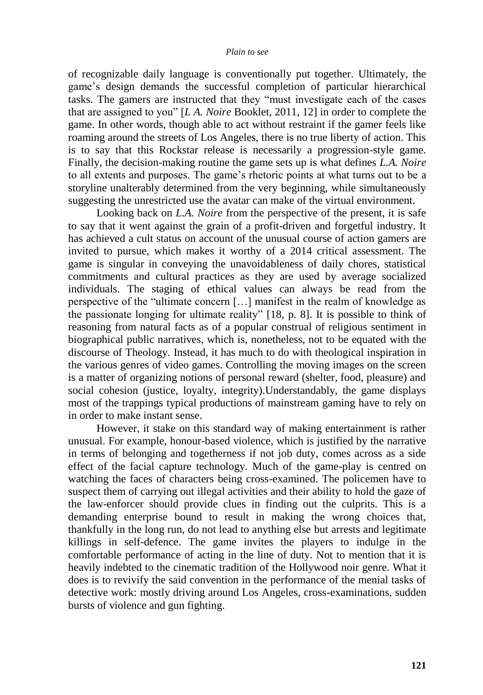of recognizable daily language is conventionally put together. Ultimately, the game's design demands the successful completion of particular hierarchical tasks. The gamers are instructed that they "must investigate each of the cases that are assigned to you" [*LA. Noire* Booklet, 2011, 12] in order to complete the game. In other words, though able to act without restraint if the gamer feels like roaming around the streets of Los Angeles, there is no true liberty of action. This is to say that this Rockstar release is necessarily a progression-style game. Finally, the decision-making routine the game sets up is what defines *L.A. Noire*  to all extents and purposes. The game's rhetoric points at what turns out to be a storyline unalterably determined from the very beginning, while simultaneously suggesting the unrestricted use the avatar can make of the virtual environment.

Looking back on *L.A. Noire* from the perspective of the present, it is safe to say that it went against the grain of a profit-driven and forgetful industry. It has achieved a cult status on account of the unusual course of action gamers are invited to pursue, which makes it worthy of a 2014 critical assessment. The game is singular in conveying the unavoidableness of daily chores, statistical commitments and cultural practices as they are used by average socialized individuals. The staging of ethical values can always be read from the perspective of the "ultimate concern  $[...]$  manifest in the realm of knowledge as the passionate longing for ultimate reality" [18, p. 8]. It is possible to think of reasoning from natural facts as of a popular construal of religious sentiment in biographical public narratives, which is, nonetheless, not to be equated with the discourse of Theology. Instead, it has much to do with theological inspiration in the various genres of video games. Controlling the moving images on the screen is a matter of organizing notions of personal reward (shelter, food, pleasure) and social cohesion (justice, loyalty, integrity).Understandably, the game displays most of the trappings typical productions of mainstream gaming have to rely on in order to make instant sense.

However, it stake on this standard way of making entertainment is rather unusual. For example, honour-based violence, which is justified by the narrative in terms of belonging and togetherness if not job duty, comes across as a side effect of the facial capture technology. Much of the game-play is centred on watching the faces of characters being cross-examined. The policemen have to suspect them of carrying out illegal activities and their ability to hold the gaze of the law-enforcer should provide clues in finding out the culprits. This is a demanding enterprise bound to result in making the wrong choices that, thankfully in the long run, do not lead to anything else but arrests and legitimate killings in self-defence. The game invites the players to indulge in the comfortable performance of acting in the line of duty. Not to mention that it is heavily indebted to the cinematic tradition of the Hollywood noir genre. What it does is to revivify the said convention in the performance of the menial tasks of detective work: mostly driving around Los Angeles, cross-examinations, sudden bursts of violence and gun fighting.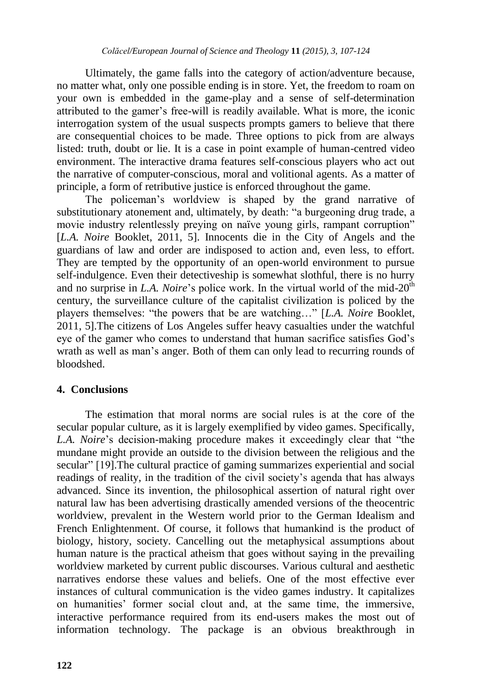Ultimately, the game falls into the category of action/adventure because, no matter what, only one possible ending is in store. Yet, the freedom to roam on your own is embedded in the game-play and a sense of self-determination attributed to the gamer's free-will is readily available. What is more, the iconic interrogation system of the usual suspects prompts gamers to believe that there are consequential choices to be made. Three options to pick from are always listed: truth, doubt or lie. It is a case in point example of human-centred video environment. The interactive drama features self-conscious players who act out the narrative of computer-conscious, moral and volitional agents. As a matter of principle, a form of retributive justice is enforced throughout the game.

The policeman's worldview is shaped by the grand narrative of substitutionary atonement and, ultimately, by death: "a burgeoning drug trade, a movie industry relentlessly preying on naïve young girls, rampant corruption" [*L.A. Noire* Booklet, 2011, 5]. Innocents die in the City of Angels and the guardians of law and order are indisposed to action and, even less, to effort. They are tempted by the opportunity of an open-world environment to pursue self-indulgence. Even their detectiveship is somewhat slothful, there is no hurry and no surprise in *L.A. Noire's* police work. In the virtual world of the mid-20<sup>th</sup> century, the surveillance culture of the capitalist civilization is policed by the players themselves: "the powers that be are watching..." [*L.A. Noire* Booklet, 2011, 5].The citizens of Los Angeles suffer heavy casualties under the watchful eye of the gamer who comes to understand that human sacrifice satisfies God's wrath as well as man's anger. Both of them can only lead to recurring rounds of bloodshed.

## **4. Conclusions**

The estimation that moral norms are social rules is at the core of the secular popular culture, as it is largely exemplified by video games. Specifically, *L.A. Noire's* decision-making procedure makes it exceedingly clear that "the mundane might provide an outside to the division between the religious and the secular" [19]. The cultural practice of gaming summarizes experiential and social readings of reality, in the tradition of the civil society's agenda that has always advanced. Since its invention, the philosophical assertion of natural right over natural law has been advertising drastically amended versions of the theocentric worldview, prevalent in the Western world prior to the German Idealism and French Enlightenment. Of course, it follows that humankind is the product of biology, history, society. Cancelling out the metaphysical assumptions about human nature is the practical atheism that goes without saying in the prevailing worldview marketed by current public discourses. Various cultural and aesthetic narratives endorse these values and beliefs. One of the most effective ever instances of cultural communication is the video games industry. It capitalizes on humanities' former social clout and, at the same time, the immersive, interactive performance required from its end-users makes the most out of information technology. The package is an obvious breakthrough in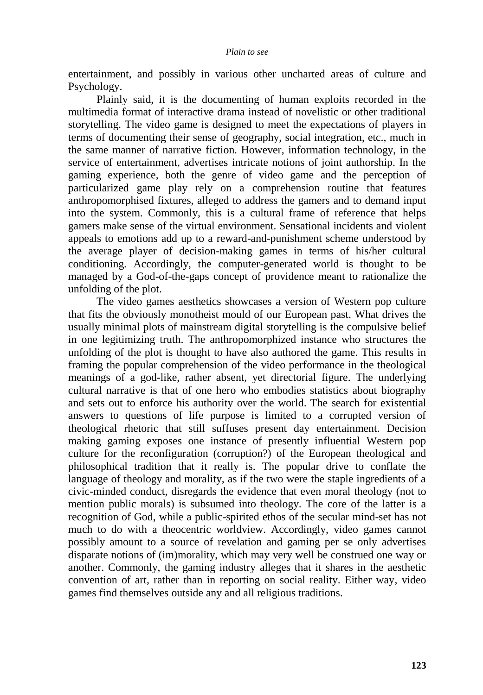entertainment, and possibly in various other uncharted areas of culture and Psychology.

Plainly said, it is the documenting of human exploits recorded in the multimedia format of interactive drama instead of novelistic or other traditional storytelling. The video game is designed to meet the expectations of players in terms of documenting their sense of geography, social integration, etc., much in the same manner of narrative fiction. However, information technology, in the service of entertainment, advertises intricate notions of joint authorship. In the gaming experience, both the genre of video game and the perception of particularized game play rely on a comprehension routine that features anthropomorphised fixtures, alleged to address the gamers and to demand input into the system. Commonly, this is a cultural frame of reference that helps gamers make sense of the virtual environment. Sensational incidents and violent appeals to emotions add up to a reward-and-punishment scheme understood by the average player of decision-making games in terms of his/her cultural conditioning. Accordingly, the computer-generated world is thought to be managed by a God-of-the-gaps concept of providence meant to rationalize the unfolding of the plot.

The video games aesthetics showcases a version of Western pop culture that fits the obviously monotheist mould of our European past. What drives the usually minimal plots of mainstream digital storytelling is the compulsive belief in one legitimizing truth. The anthropomorphized instance who structures the unfolding of the plot is thought to have also authored the game. This results in framing the popular comprehension of the video performance in the theological meanings of a god-like, rather absent, yet directorial figure. The underlying cultural narrative is that of one hero who embodies statistics about biography and sets out to enforce his authority over the world. The search for existential answers to questions of life purpose is limited to a corrupted version of theological rhetoric that still suffuses present day entertainment. Decision making gaming exposes one instance of presently influential Western pop culture for the reconfiguration (corruption?) of the European theological and philosophical tradition that it really is. The popular drive to conflate the language of theology and morality, as if the two were the staple ingredients of a civic-minded conduct, disregards the evidence that even moral theology (not to mention public morals) is subsumed into theology. The core of the latter is a recognition of God, while a public-spirited ethos of the secular mind-set has not much to do with a theocentric worldview. Accordingly, video games cannot possibly amount to a source of revelation and gaming per se only advertises disparate notions of (im)morality, which may very well be construed one way or another. Commonly, the gaming industry alleges that it shares in the aesthetic convention of art, rather than in reporting on social reality. Either way, video games find themselves outside any and all religious traditions.